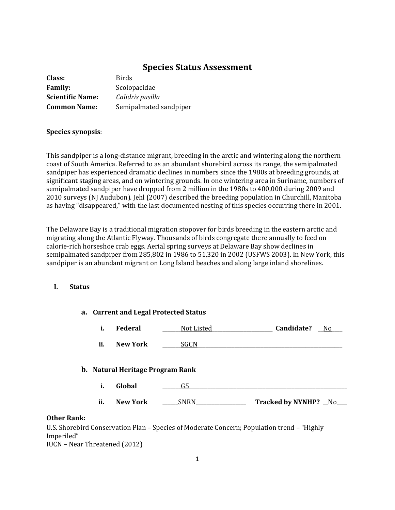# **Species Status Assessment**

| Class:                  | <b>Birds</b>           |
|-------------------------|------------------------|
| <b>Family:</b>          | Scolopacidae           |
| <b>Scientific Name:</b> | Calidris pusilla       |
| <b>Common Name:</b>     | Semipalmated sandpiper |

## **Species synopsis**:

This sandpiper is a long-distance migrant, breeding in the arctic and wintering along the northern coast of South America. Referred to as an abundant shorebird across its range, the semipalmated sandpiper has experienced dramatic declines in numbers since the 1980s at breeding grounds, at significant staging areas, and on wintering grounds. In one wintering area in Suriname, numbers of semipalmated sandpiper have dropped from 2 million in the 1980s to 400,000 during 2009 and 2010 surveys (NJ Audubon). Jehl (2007) described the breeding population in Churchill, Manitoba as having "disappeared," with the last documented nesting of this species occurring there in 2001.

The Delaware Bay is a traditional migration stopover for birds breeding in the eastern arctic and migrating along the Atlantic Flyway. Thousands of birds congregate there annually to feed on calorie-rich horseshoe crab eggs. Aerial spring surveys at Delaware Bay show declines in semipalmated sandpiper from 285,802 in 1986 to 51,320 in 2002 (USFWS 2003). In New York, this sandpiper is an abundant migrant on Long Island beaches and along large inland shorelines.

# **I. Status**

|    | a. Current and Legal Protected Status |                                  |             |                      |  |
|----|---------------------------------------|----------------------------------|-------------|----------------------|--|
|    | i.                                    | <b>Federal</b>                   | Not Listed_ | Candidate?<br>No.    |  |
|    | ii.                                   | <b>New York</b>                  | SGCN        |                      |  |
|    |                                       | b. Natural Heritage Program Rank |             |                      |  |
|    | i.                                    | Global                           | G5          |                      |  |
|    | ii.                                   | New York                         | <b>SNRN</b> | Tracked by NYNHP? No |  |
| J. |                                       |                                  |             |                      |  |

## **Other Rank:**

U.S. Shorebird Conservation Plan – Species of Moderate Concern; Population trend – "Highly Imperiled" IUCN – Near Threatened (2012)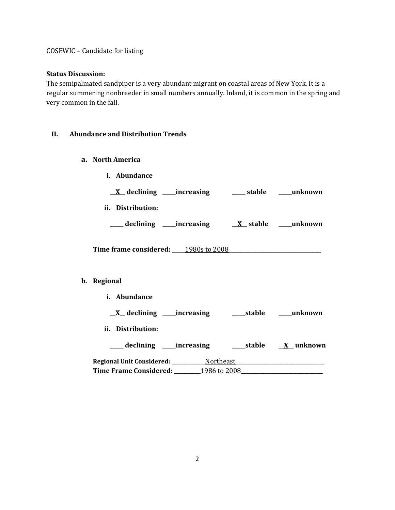COSEWIC – Candidate for listing

## **Status Discussion:**

The semipalmated sandpiper is a very abundant migrant on coastal areas of New York. It is a regular summering nonbreeder in small numbers annually. Inland, it is common in the spring and very common in the fall.

## **II. Abundance and Distribution Trends**

- **a. North America**
	- **i. Abundance**

**\_\_X\_\_ declining \_\_\_\_\_increasing \_\_\_\_\_ stable \_\_\_\_\_unknown**

**ii. Distribution:**

**\_\_\_\_\_ declining \_\_\_\_\_increasing \_\_X\_\_ stable \_\_\_\_\_unknown**

**Time frame considered: \_\_\_\_\_**1980s to 2008**\_\_\_\_\_\_\_\_\_\_\_\_\_\_\_\_\_\_\_\_\_\_\_\_\_\_\_\_\_\_\_\_\_\_\_**

## **b. Regional**

**i. Abundance**

**\_\_X\_\_ declining \_\_\_\_\_increasing \_\_\_\_\_stable \_\_\_\_\_unknown**

**ii. Distribution:**

**\_\_\_\_\_ declining \_\_\_\_\_increasing \_\_\_\_\_stable \_\_X\_\_ unknown**

**Regional Unit Considered: \_\_\_\_\_\_\_\_\_\_\_\_\_\_**Northeast**\_\_\_\_\_\_\_\_\_\_\_\_\_\_\_\_\_\_\_\_\_\_\_\_\_\_\_\_\_\_\_\_\_\_\_\_\_ Time Frame Considered: \_\_\_\_\_\_\_\_\_\_**1986 to 2008**\_\_\_\_\_\_\_\_\_\_\_\_\_\_\_\_\_\_\_\_\_\_\_\_\_\_\_\_\_\_\_**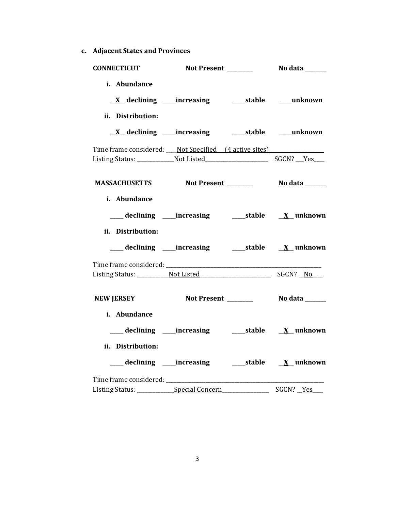**c. Adjacent States and Provinces**

| <b>CONNECTICUT</b>                                    |                                                             |  |
|-------------------------------------------------------|-------------------------------------------------------------|--|
| i. Abundance<br>ii. Distribution:                     |                                                             |  |
|                                                       | <u>X</u> declining ____increasing _______stable ____unknown |  |
| Time frame considered: Not Specified (4 active sites) |                                                             |  |
|                                                       |                                                             |  |
| i. Abundance<br>ii. Distribution:                     |                                                             |  |
|                                                       | ___ declining ____increasing ______stable ___ X__unknown    |  |
|                                                       |                                                             |  |
| <b>NEW JERSEY</b>                                     |                                                             |  |
| i. Abundance<br>ii. Distribution:                     |                                                             |  |
|                                                       |                                                             |  |
| Time frame considered: ______                         |                                                             |  |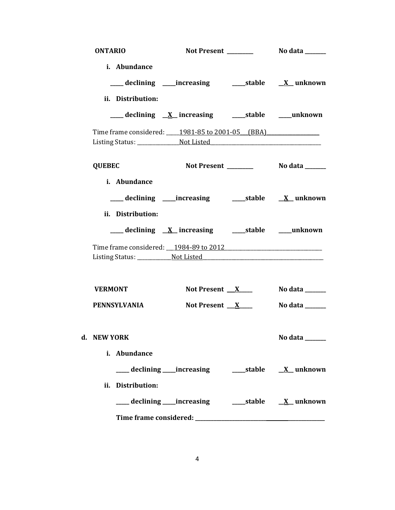| <b>ONTARIO</b>                                  |                                                            |  |                |  |
|-------------------------------------------------|------------------------------------------------------------|--|----------------|--|
| i. Abundance<br>ii. Distribution:               | ___ declining ____increasing ______stable _____X__ unknown |  |                |  |
|                                                 |                                                            |  |                |  |
| Time frame considered: 1981-85 to 2001-05 (BBA) |                                                            |  |                |  |
| <b>QUEBEC</b>                                   |                                                            |  |                |  |
| i. Abundance<br>ii. Distribution:               |                                                            |  |                |  |
|                                                 | ___ declining <u>X</u> increasing ____ stable ____ unknown |  |                |  |
|                                                 |                                                            |  |                |  |
|                                                 |                                                            |  |                |  |
| <b>VERMONT</b>                                  | Not Present $X$                                            |  | No data ______ |  |
| PENNSYLVANIA                                    | Not Present $X$                                            |  | No data ______ |  |
| d.   NEW YORK<br>i. Abundance                   |                                                            |  | No data $\_\_$ |  |
|                                                 |                                                            |  |                |  |
| ii. Distribution:                               |                                                            |  |                |  |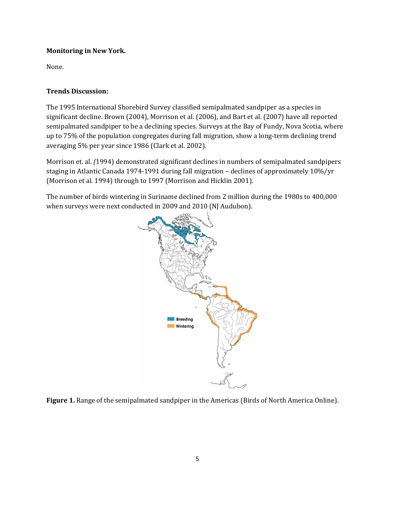# **Monitoring in New York.**

None.

# **Trends Discussion:**

The 1995 International Shorebird Survey classified semipalmated sandpiper as a species in significant decline. Brown (2004), Morrison et al. (2006), and Bart et al. (2007) have all reported semipalmated sandpiper to be a declining species. Surveys at the Bay of Fundy, Nova Scotia, where up to 75% of the population congregates during fall migration, show a long-term declining trend averaging 5% per year since 1986 (Clark et al. 2002).

Morrison et. al. *(*[1994\)](http://bna.birds.cornell.edu/bna/species/006/articles/species/006/biblio/bib170) demonstrated significant declines in numbers of semipalmated sandpipers staging in Atlantic Canada 1974-1991 during fall migration – declines of approximately 10%/yr (Morrison et al. 1994) through to 1997 [\(Morrison and Hicklin 2001\)](http://bna.birds.cornell.edu/bna/species/006/articles/species/006/biblio/bib175).

The number of birds wintering in Suriname declined from 2 million during the 1980s to 400,000 when surveys were next conducted in 2009 and 2010 (NJ Audubon).



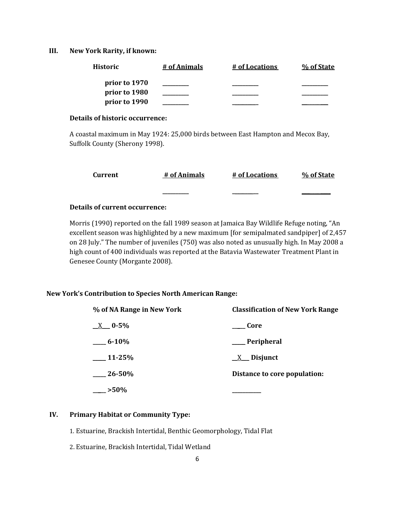### **III. New York Rarity, if known:**

| <b>Historic</b> | # of Animals | # of Locations | % of State |
|-----------------|--------------|----------------|------------|
| prior to 1970   |              |                |            |
| prior to 1980   |              |                |            |
| prior to 1990   |              |                |            |

### **Details of historic occurrence:**

A coastal maximum in May 1924: 25,000 birds between East Hampton and Mecox Bay, Suffolk County (Sherony 1998).

| Current | # of Animals | # of Locations | % of State |
|---------|--------------|----------------|------------|
|         |              |                |            |

## **Details of current occurrence:**

Morris (1990) reported on the fall 1989 season at Jamaica Bay Wildlife Refuge noting, "An excellent season was highlighted by a new maximum [for semipalmated sandpiper] of 2,457 on 28 July." The number of juveniles (750) was also noted as unusually high. In May 2008 a high count of 400 individuals was reported at the Batavia Wastewater Treatment Plant in Genesee County (Morgante 2008).

## **New York's Contribution to Species North American Range:**

| % of NA Range in New York | <b>Classification of New York Range</b> |  |
|---------------------------|-----------------------------------------|--|
| $X = 0.5\%$               | Core                                    |  |
| $6 - 10\%$                | <b>Peripheral</b>                       |  |
| $11-25%$                  | $X$ Disjunct                            |  |
| $-26 - 50\%$              | Distance to core population:            |  |
| $>50\%$                   |                                         |  |

## **IV. Primary Habitat or Community Type:**

1. Estuarine, Brackish Intertidal, Benthic Geomorphology, Tidal Flat

2. Estuarine, Brackish Intertidal, Tidal Wetland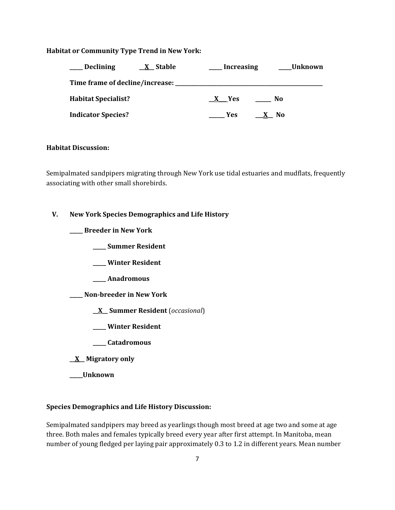## **Habitat or Community Type Trend in New York:**

| <b>Declining</b>           | <u>X</u> Stable | <b>Increasing</b>   |                     | Unknown |
|----------------------------|-----------------|---------------------|---------------------|---------|
|                            |                 |                     |                     |         |
| <b>Habitat Specialist?</b> |                 | X Yes               | No.                 |         |
| <b>Indicator Species?</b>  |                 | <b>Paragona</b> Yes | No.<br>$\mathbf{X}$ |         |

#### **Habitat Discussion:**

Semipalmated sandpipers migrating through New York use tidal estuaries and mudflats, frequently associating with other small shorebirds.

## **V. New York Species Demographics and Life History**

**\_\_\_\_\_ Breeder in New York**

**\_\_\_\_\_ Summer Resident**

**\_\_\_\_\_ Winter Resident**

**\_\_\_\_\_ Anadromous**

**\_\_\_\_\_ Non-breeder in New York**

**\_\_X\_\_ Summer Resident** (*occasional*)

- **\_\_\_\_\_ Winter Resident**
- **\_\_\_\_\_ Catadromous**
- **\_\_X\_\_ Migratory only**

**\_\_\_\_\_Unknown**

#### **Species Demographics and Life History Discussion:**

Semipalmated sandpipers may breed as yearlings though most breed at age two and some at age three. Both males and females typically breed every year after first attempt. In Manitoba, mean number of young fledged per laying pair approximately 0.3 to 1.2 in different years. Mean number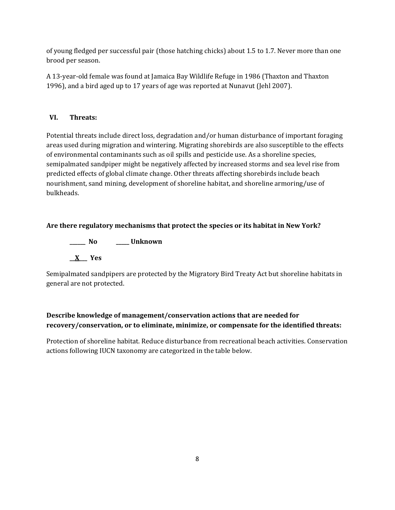of young fledged per successful pair (those hatching chicks) about 1.5 to 1.7. Never more than one brood per season.

A 13-year-old female was found at Jamaica Bay Wildlife Refuge in 1986 (Thaxton and Thaxton 1996), and a bird aged up to 17 years of age was reported at Nunavut (Jehl 2007).

# **VI. Threats:**

Potential threats include direct loss, degradation and/or human disturbance of important foraging areas used during migration and wintering. Migrating shorebirds are also susceptible to the effects of environmental contaminants such as oil spills and pesticide use. As a shoreline species, semipalmated sandpiper might be negatively affected by increased storms and sea level rise from predicted effects of global climate change. Other threats affecting shorebirds include beach nourishment, sand mining, development of shoreline habitat, and shoreline armoring/use of bulkheads.

# **Are there regulatory mechanisms that protect the species or its habitat in New York?**

**\_\_\_\_\_\_ No \_\_\_\_\_ Unknown \_\_X\_\_\_ Yes** 

Semipalmated sandpipers are protected by the Migratory Bird Treaty Act but shoreline habitats in general are not protected.

# **Describe knowledge of management/conservation actions that are needed for recovery/conservation, or to eliminate, minimize, or compensate for the identified threats:**

Protection of shoreline habitat. Reduce disturbance from recreational beach activities. Conservation actions following IUCN taxonomy are categorized in the table below.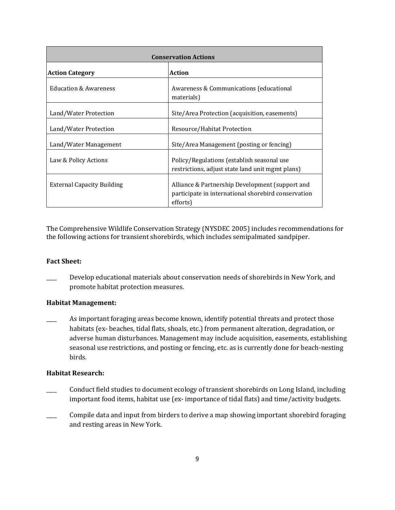| <b>Conservation Actions</b>       |                                                                                                                    |  |
|-----------------------------------|--------------------------------------------------------------------------------------------------------------------|--|
| <b>Action Category</b>            | <b>Action</b>                                                                                                      |  |
| <b>Education &amp; Awareness</b>  | Awareness & Communications (educational<br>materials)                                                              |  |
| Land/Water Protection             | Site/Area Protection (acquisition, easements)                                                                      |  |
| Land/Water Protection             | Resource/Habitat Protection                                                                                        |  |
| Land/Water Management             | Site/Area Management (posting or fencing)                                                                          |  |
| Law & Policy Actions              | Policy/Regulations (establish seasonal use<br>restrictions, adjust state land unit mgmt plans)                     |  |
| <b>External Capacity Building</b> | Alliance & Partnership Development (support and<br>participate in international shorebird conservation<br>efforts) |  |

The Comprehensive Wildlife Conservation Strategy (NYSDEC 2005) includes recommendations for the following actions for transient shorebirds, which includes semipalmated sandpiper.

## **Fact Sheet:**

Develop educational materials about conservation needs of shorebirds in New York, and promote habitat protection measures.

## **Habitat Management:**

As important foraging areas become known, identify potential threats and protect those habitats (ex- beaches, tidal flats, shoals, etc.) from permanent alteration, degradation, or adverse human disturbances. Management may include acquisition, easements, establishing seasonal use restrictions, and posting or fencing, etc. as is currently done for beach-nesting birds.

# **Habitat Research:**

- Conduct field studies to document ecology of transient shorebirds on Long Island, including important food items, habitat use (ex- importance of tidal flats) and time/activity budgets.
- Compile data and input from birders to derive a map showing important shorebird foraging and resting areas in New York.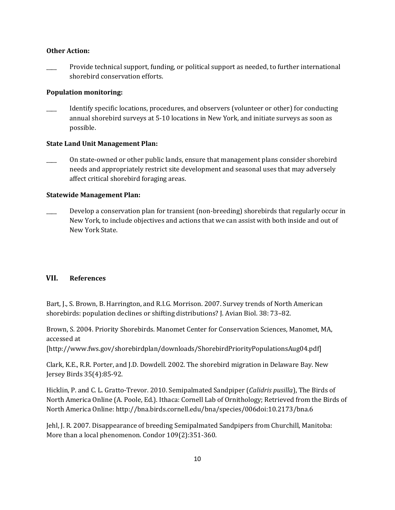## **Other Action:**

Provide technical support, funding, or political support as needed, to further international shorebird conservation efforts.

## **Population monitoring:**

Identify specific locations, procedures, and observers (volunteer or other) for conducting annual shorebird surveys at 5-10 locations in New York, and initiate surveys as soon as possible.

## **State Land Unit Management Plan:**

\_\_\_\_ On state-owned or other public lands, ensure that management plans consider shorebird needs and appropriately restrict site development and seasonal uses that may adversely affect critical shorebird foraging areas.

## **Statewide Management Plan:**

Develop a conservation plan for transient (non-breeding) shorebirds that regularly occur in New York, to include objectives and actions that we can assist with both inside and out of New York State.

## **VII. References**

Bart, J., S. Brown, B. Harrington, and R.I.G. Morrison. 2007. Survey trends of North American shorebirds: population declines or shifting distributions? J. Avian Biol. 38: 73–82.

Brown, S. 2004. Priority Shorebirds. Manomet Center for Conservation Sciences, Manomet, MA, accessed at

[http://www.fws.gov/shorebirdplan/downloads/ShorebirdPriorityPopulationsAug04.pdf]

Clark, K.E., R.R. Porter, and J.D. Dowdell. 2002. The shorebird migration in Delaware Bay. New Jersey Birds 35(4):85-92.

Hicklin, P. and C. L. Gratto-Trevor. 2010. Semipalmated Sandpiper (*Calidris pusilla*), The Birds of North America Online (A. Poole, Ed.). Ithaca: Cornell Lab of Ornithology; Retrieved from the Birds of North America Online[: http://bna.birds.cornell.edu/bna/species/006doi:10.2173/bna.6](http://bna.birds.cornell.edu/bna/species/006)

Jehl, J. R. 2007. Disappearance of breeding Semipalmated Sandpipers from Churchill, Manitoba: More than a local phenomenon. Condor 109(2):351-360.